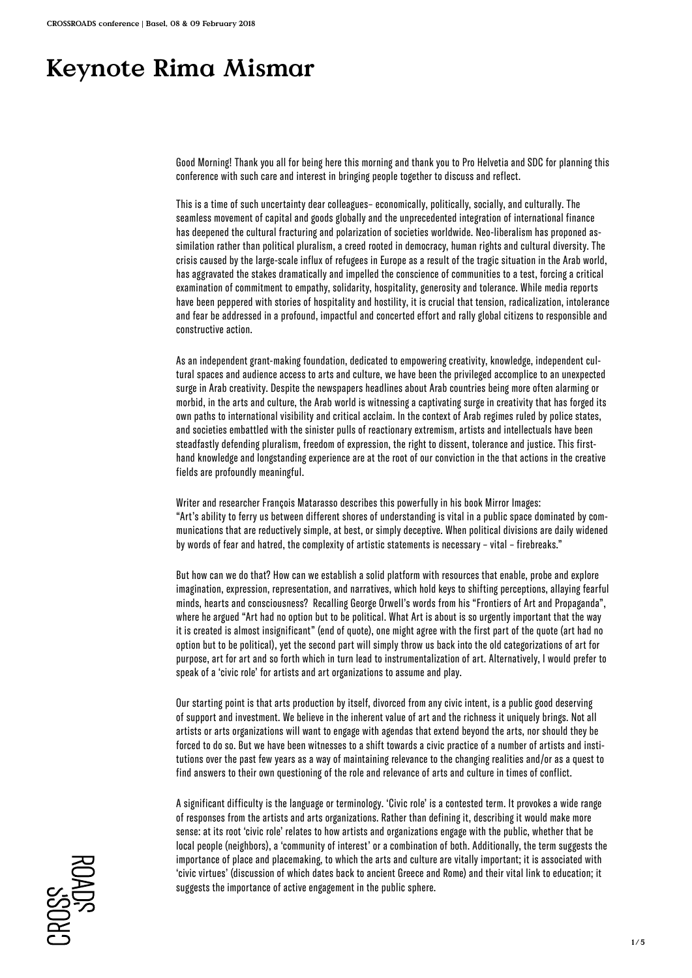# **Keynote Rima Mismar**

Good Morning! Thank you all for being here this morning and thank you to Pro Helvetia and SDC for planning this conference with such care and interest in bringing people together to discuss and reflect.

This is a time of such uncertainty dear colleagues– economically, politically, socially, and culturally. The seamless movement of capital and goods globally and the unprecedented integration of international finance has deepened the cultural fracturing and polarization of societies worldwide. Neo-liberalism has proponed assimilation rather than political pluralism, a creed rooted in democracy, human rights and cultural diversity. The crisis caused by the large-scale influx of refugees in Europe as a result of the tragic situation in the Arab world, has aggravated the stakes dramatically and impelled the conscience of communities to a test, forcing a critical examination of commitment to empathy, solidarity, hospitality, generosity and tolerance. While media reports have been peppered with stories of hospitality and hostility, it is crucial that tension, radicalization, intolerance and fear be addressed in a profound, impactful and concerted effort and rally global citizens to responsible and constructive action.

As an independent grant-making foundation, dedicated to empowering creativity, knowledge, independent cultural spaces and audience access to arts and culture, we have been the privileged accomplice to an unexpected surge in Arab creativity. Despite the newspapers headlines about Arab countries being more often alarming or morbid, in the arts and culture, the Arab world is witnessing a captivating surge in creativity that has forged its own paths to international visibility and critical acclaim. In the context of Arab regimes ruled by police states, and societies embattled with the sinister pulls of reactionary extremism, artists and intellectuals have been steadfastly defending pluralism, freedom of expression, the right to dissent, tolerance and justice. This firsthand knowledge and longstanding experience are at the root of our conviction in the that actions in the creative fields are profoundly meaningful.

Writer and researcher François Matarasso describes this powerfully in his book Mirror Images: "Art's ability to ferry us between different shores of understanding is vital in a public space dominated by communications that are reductively simple, at best, or simply deceptive. When political divisions are daily widened by words of fear and hatred, the complexity of artistic statements is necessary – vital – firebreaks."

But how can we do that? How can we establish a solid platform with resources that enable, probe and explore imagination, expression, representation, and narratives, which hold keys to shifting perceptions, allaying fearful minds, hearts and consciousness? Recalling George Orwell's words from his "Frontiers of Art and Propaganda", where he argued "Art had no option but to be political. What Art is about is so urgently important that the way it is created is almost insignificant" (end of quote), one might agree with the first part of the quote (art had no option but to be political), yet the second part will simply throw us back into the old categorizations of art for purpose, art for art and so forth which in turn lead to instrumentalization of art. Alternatively, I would prefer to speak of a 'civic role' for artists and art organizations to assume and play.

Our starting point is that arts production by itself, divorced from any civic intent, is a public good deserving of support and investment. We believe in the inherent value of art and the richness it uniquely brings. Not all artists or arts organizations will want to engage with agendas that extend beyond the arts, nor should they be forced to do so. But we have been witnesses to a shift towards a civic practice of a number of artists and institutions over the past few years as a way of maintaining relevance to the changing realities and/or as a quest to find answers to their own questioning of the role and relevance of arts and culture in times of conflict.

A significant difficulty is the language or terminology. 'Civic role' is a contested term. It provokes a wide range of responses from the artists and arts organizations. Rather than defining it, describing it would make more sense: at its root 'civic role' relates to how artists and organizations engage with the public, whether that be local people (neighbors), a 'community of interest' or a combination of both. Additionally, the term suggests the importance of place and placemaking, to which the arts and culture are vitally important; it is associated with 'civic virtues' (discussion of which dates back to ancient Greece and Rome) and their vital link to education; it suggests the importance of active engagement in the public sphere.

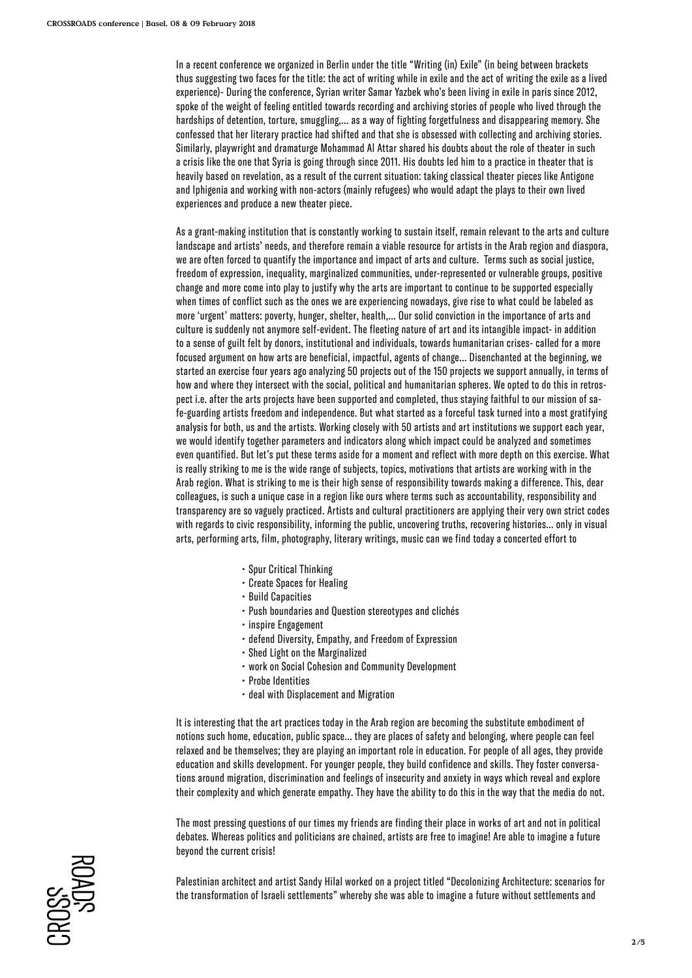In a recent conference we organized in Berlin under the title "Writing (in) Exile" (in being between brackets thus suggesting two faces for the title: the act of writing while in exile and the act of writing the exile as a lived experience)- During the conference, Syrian writer Samar Yazbek who's been living in exile in paris since 2012, spoke of the weight of feeling entitled towards recording and archiving stories of people who lived through the hardships of detention, torture, smuggling,… as a way of fighting forgetfulness and disappearing memory. She confessed that her literary practice had shifted and that she is obsessed with collecting and archiving stories. Similarly, playwright and dramaturge Mohammad Al Attar shared his doubts about the role of theater in such a crisis like the one that Syria is going through since 2011. His doubts led him to a practice in theater that is heavily based on revelation, as a result of the current situation: taking classical theater pieces like Antigone and Iphigenia and working with non-actors (mainly refugees) who would adapt the plays to their own lived experiences and produce a new theater piece.

As a grant-making institution that is constantly working to sustain itself, remain relevant to the arts and culture landscape and artists' needs, and therefore remain a viable resource for artists in the Arab region and diaspora, we are often forced to quantify the importance and impact of arts and culture. Terms such as social justice, freedom of expression, inequality, marginalized communities, under-represented or vulnerable groups, positive change and more come into play to justify why the arts are important to continue to be supported especially when times of conflict such as the ones we are experiencing nowadays, give rise to what could be labeled as more 'urgent' matters: poverty, hunger, shelter, health,… Our solid conviction in the importance of arts and culture is suddenly not anymore self-evident. The fleeting nature of art and its intangible impact- in addition to a sense of guilt felt by donors, institutional and individuals, towards humanitarian crises- called for a more focused argument on how arts are beneficial, impactful, agents of change… Disenchanted at the beginning, we started an exercise four years ago analyzing 50 projects out of the 150 projects we support annually, in terms of how and where they intersect with the social, political and humanitarian spheres. We opted to do this in retrospect i.e. after the arts projects have been supported and completed, thus staying faithful to our mission of safe-guarding artists freedom and independence. But what started as a forceful task turned into a most gratifying analysis for both, us and the artists. Working closely with 50 artists and art institutions we support each year, we would identify together parameters and indicators along which impact could be analyzed and sometimes even quantified. But let's put these terms aside for a moment and reflect with more depth on this exercise. What is really striking to me is the wide range of subjects, topics, motivations that artists are working with in the Arab region. What is striking to me is their high sense of responsibility towards making a difference. This, dear colleagues, is such a unique case in a region like ours where terms such as accountability, responsibility and transparency are so vaguely practiced. Artists and cultural practitioners are applying their very own strict codes with regards to civic responsibility, informing the public, uncovering truths, recovering histories… only in visual arts, performing arts, film, photography, literary writings, music can we find today a concerted effort to

- Spur Critical Thinking
- Create Spaces for Healing
- Build Capacities
- Push boundaries and Question stereotypes and clichés
- inspire Engagement
- defend Diversity, Empathy, and Freedom of Expression
- Shed Light on the Marginalized
- work on Social Cohesion and Community Development
- Probe Identities
- deal with Displacement and Migration

It is interesting that the art practices today in the Arab region are becoming the substitute embodiment of notions such home, education, public space… they are places of safety and belonging, where people can feel relaxed and be themselves; they are playing an important role in education. For people of all ages, they provide education and skills development. For younger people, they build confidence and skills. They foster conversations around migration, discrimination and feelings of insecurity and anxiety in ways which reveal and explore their complexity and which generate empathy. They have the ability to do this in the way that the media do not.

The most pressing questions of our times my friends are finding their place in works of art and not in political debates. Whereas politics and politicians are chained, artists are free to imagine! Are able to imagine a future beyond the current crisis!

Palestinian architect and artist Sandy Hilal worked on a project titled "Decolonizing Architecture: scenarios for the transformation of Israeli settlements" whereby she was able to imagine a future without settlements and

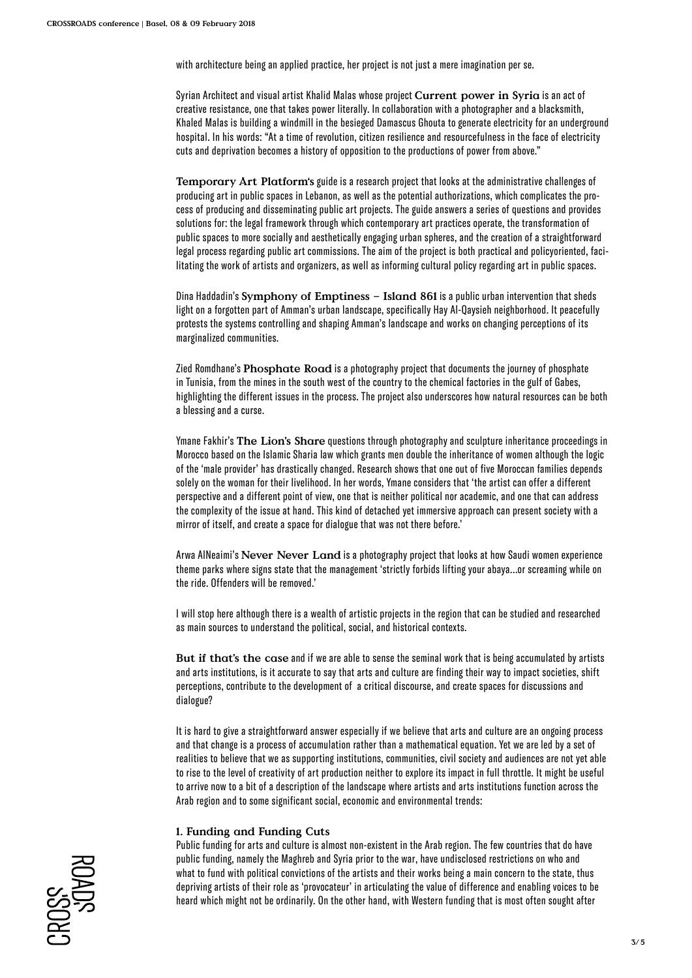with architecture being an applied practice, her project is not just a mere imagination per se.

Syrian Architect and visual artist Khalid Malas whose project **Current power in Syria** is an act of creative resistance, one that takes power literally. In collaboration with a photographer and a blacksmith, Khaled Malas is building a windmill in the besieged Damascus Ghouta to generate electricity for an underground hospital. In his words: "At a time of revolution, citizen resilience and resourcefulness in the face of electricity cuts and deprivation becomes a history of opposition to the productions of power from above."

**Temporary Art Platform's** guide is a research project that looks at the administrative challenges of producing art in public spaces in Lebanon, as well as the potential authorizations, which complicates the process of producing and disseminating public art projects. The guide answers a series of questions and provides solutions for: the legal framework through which contemporary art practices operate, the transformation of public spaces to more socially and aesthetically engaging urban spheres, and the creation of a straightforward legal process regarding public art commissions. The aim of the project is both practical and policyoriented, facilitating the work of artists and organizers, as well as informing cultural policy regarding art in public spaces.

Dina Haddadin's **Symphony of Emptiness – Island 861** is a public urban intervention that sheds light on a forgotten part of Amman's urban landscape, specifically Hay Al-Qaysieh neighborhood. It peacefully protests the systems controlling and shaping Amman's landscape and works on changing perceptions of its marginalized communities.

Zied Romdhane's **Phosphate Road** is a photography project that documents the journey of phosphate in Tunisia, from the mines in the south west of the country to the chemical factories in the gulf of Gabes, highlighting the different issues in the process. The project also underscores how natural resources can be both a blessing and a curse.

Ymane Fakhir's **The Lion's Share** questions through photography and sculpture inheritance proceedings in Morocco based on the Islamic Sharia law which grants men double the inheritance of women although the logic of the 'male provider' has drastically changed. Research shows that one out of five Moroccan families depends solely on the woman for their livelihood. In her words, Ymane considers that 'the artist can offer a different perspective and a different point of view, one that is neither political nor academic, and one that can address the complexity of the issue at hand. This kind of detached yet immersive approach can present society with a mirror of itself, and create a space for dialogue that was not there before.'

Arwa AlNeaimi's **Never Never Land** is a photography project that looks at how Saudi women experience theme parks where signs state that the management 'strictly forbids lifting your abaya...or screaming while on the ride. Offenders will be removed.'

I will stop here although there is a wealth of artistic projects in the region that can be studied and researched as main sources to understand the political, social, and historical contexts.

**But if that's the case** and if we are able to sense the seminal work that is being accumulated by artists and arts institutions, is it accurate to say that arts and culture are finding their way to impact societies, shift perceptions, contribute to the development of a critical discourse, and create spaces for discussions and dialogue?

It is hard to give a straightforward answer especially if we believe that arts and culture are an ongoing process and that change is a process of accumulation rather than a mathematical equation. Yet we are led by a set of realities to believe that we as supporting institutions, communities, civil society and audiences are not yet able to rise to the level of creativity of art production neither to explore its impact in full throttle. It might be useful to arrive now to a bit of a description of the landscape where artists and arts institutions function across the Arab region and to some significant social, economic and environmental trends:

## **1. Funding and Funding Cuts**

Public funding for arts and culture is almost non-existent in the Arab region. The few countries that do have public funding, namely the Maghreb and Syria prior to the war, have undisclosed restrictions on who and what to fund with political convictions of the artists and their works being a main concern to the state, thus depriving artists of their role as 'provocateur' in articulating the value of difference and enabling voices to be heard which might not be ordinarily. On the other hand, with Western funding that is most often sought after

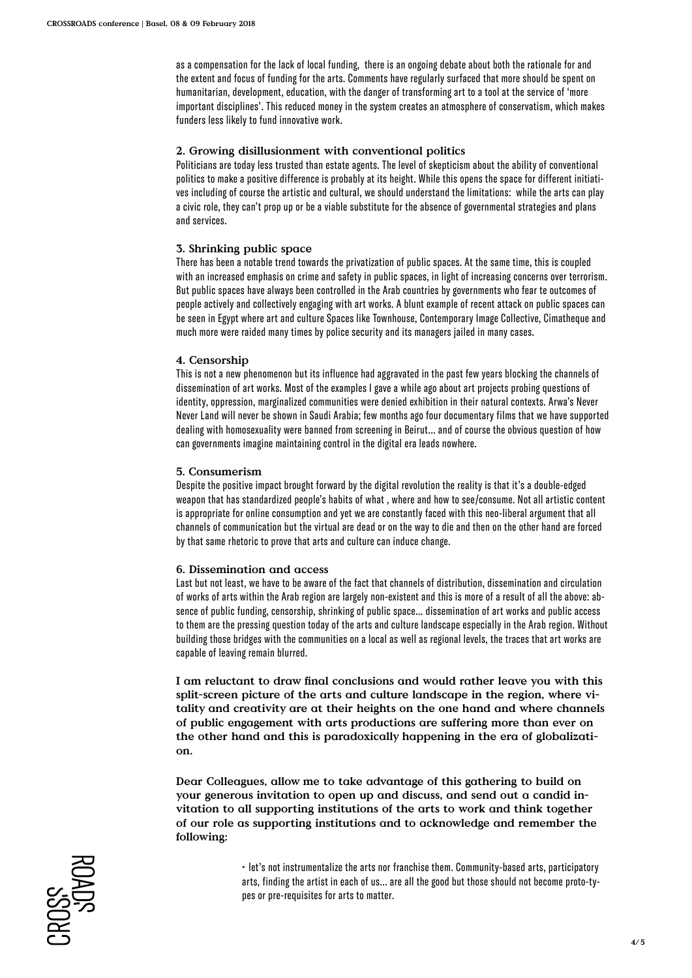as a compensation for the lack of local funding, there is an ongoing debate about both the rationale for and the extent and focus of funding for the arts. Comments have regularly surfaced that more should be spent on humanitarian, development, education, with the danger of transforming art to a tool at the service of 'more important disciplines'. This reduced money in the system creates an atmosphere of conservatism, which makes funders less likely to fund innovative work.

## **2. Growing disillusionment with conventional politics**

Politicians are today less trusted than estate agents. The level of skepticism about the ability of conventional politics to make a positive difference is probably at its height. While this opens the space for different initiatives including of course the artistic and cultural, we should understand the limitations: while the arts can play a civic role, they can't prop up or be a viable substitute for the absence of governmental strategies and plans and services.

### **3. Shrinking public space**

There has been a notable trend towards the privatization of public spaces. At the same time, this is coupled with an increased emphasis on crime and safety in public spaces, in light of increasing concerns over terrorism. But public spaces have always been controlled in the Arab countries by governments who fear te outcomes of people actively and collectively engaging with art works. A blunt example of recent attack on public spaces can be seen in Egypt where art and culture Spaces like Townhouse, Contemporary Image Collective, Cimatheque and much more were raided many times by police security and its managers jailed in many cases.

### **4. Censorship**

This is not a new phenomenon but its influence had aggravated in the past few years blocking the channels of dissemination of art works. Most of the examples I gave a while ago about art projects probing questions of identity, oppression, marginalized communities were denied exhibition in their natural contexts. Arwa's Never Never Land will never be shown in Saudi Arabia; few months ago four documentary films that we have supported dealing with homosexuality were banned from screening in Beirut… and of course the obvious question of how can governments imagine maintaining control in the digital era leads nowhere.

### **5. Consumerism**

Despite the positive impact brought forward by the digital revolution the reality is that it's a double-edged weapon that has standardized people's habits of what , where and how to see/consume. Not all artistic content is appropriate for online consumption and yet we are constantly faced with this neo-liberal argument that all channels of communication but the virtual are dead or on the way to die and then on the other hand are forced by that same rhetoric to prove that arts and culture can induce change.

#### **6. Dissemination and access**

Last but not least, we have to be aware of the fact that channels of distribution, dissemination and circulation of works of arts within the Arab region are largely non-existent and this is more of a result of all the above: absence of public funding, censorship, shrinking of public space… dissemination of art works and public access to them are the pressing question today of the arts and culture landscape especially in the Arab region. Without building those bridges with the communities on a local as well as regional levels, the traces that art works are capable of leaving remain blurred.

**I am reluctant to draw final conclusions and would rather leave you with this split-screen picture of the arts and culture landscape in the region, where vitality and creativity are at their heights on the one hand and where channels of public engagement with arts productions are suffering more than ever on the other hand and this is paradoxically happening in the era of globalization.** 

**Dear Colleagues, allow me to take advantage of this gathering to build on your generous invitation to open up and discuss, and send out a candid invitation to all supporting institutions of the arts to work and think together of our role as supporting institutions and to acknowledge and remember the following:**

> • let's not instrumentalize the arts nor franchise them. Community-based arts, participatory arts, finding the artist in each of us… are all the good but those should not become proto-types or pre-requisites for arts to matter.